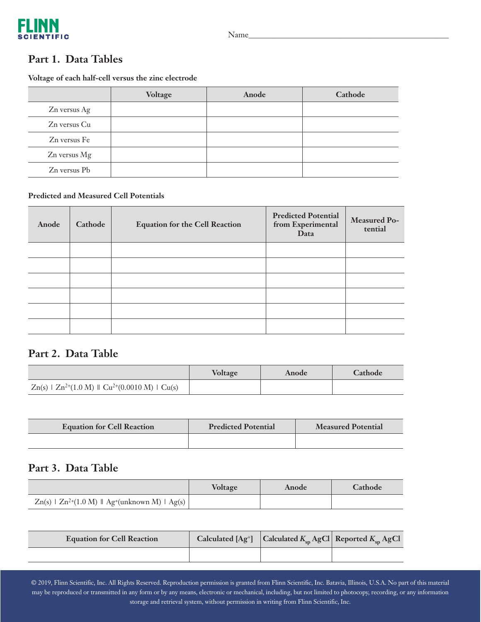

### **Part 1. Data Tables**

**Voltage of each half-cell versus the zinc electrode**

|              | Voltage | Anode | Cathode |
|--------------|---------|-------|---------|
| Zn versus Ag |         |       |         |
| Zn versus Cu |         |       |         |
| Zn versus Fe |         |       |         |
| Zn versus Mg |         |       |         |
| Zn versus Pb |         |       |         |

### **Predicted and Measured Cell Potentials**

| Anode | Cathode | <b>Equation for the Cell Reaction</b> | <b>Predicted Potential</b><br>from Experimental<br>Data | Measured Po-<br>tential |
|-------|---------|---------------------------------------|---------------------------------------------------------|-------------------------|
|       |         |                                       |                                                         |                         |
|       |         |                                       |                                                         |                         |
|       |         |                                       |                                                         |                         |
|       |         |                                       |                                                         |                         |
|       |         |                                       |                                                         |                         |
|       |         |                                       |                                                         |                         |

## **Part 2. Data Table**

|                                                             | Voltage | Anode | <b>Cathode</b> |
|-------------------------------------------------------------|---------|-------|----------------|
| $Zn(s)$   $Zn^{2+}(1.0 M)$    $Cu^{2+}(0.0010 M)$   $Cu(s)$ |         |       |                |

| <b>Equation for Cell Reaction</b> | <b>Predicted Potential</b> | <b>Measured Potential</b> |
|-----------------------------------|----------------------------|---------------------------|
|                                   |                            |                           |

## **Part 3. Data Table**

|                                                                   | <b>Voltage</b> | Anode | <b>Cathode</b> |
|-------------------------------------------------------------------|----------------|-------|----------------|
| $Zn(s)$   $Zn^{2+}(1.0 M)$    Ag <sup>+</sup> (unknown M)   Ag(s) |                |       |                |

| <b>Equation for Cell Reaction</b> |  | Calculated $[Ag^+]$ Calculated $K_{sp}$ AgCl Reported $K_{sp}$ AgCl |
|-----------------------------------|--|---------------------------------------------------------------------|
|                                   |  |                                                                     |

© 2019, Flinn Scientific, Inc. All Rights Reserved. Reproduction permission is granted from Flinn Scientific, Inc. Batavia, Illinois, U.S.A. No part of this material may be reproduced or transmitted in any form or by any means, electronic or mechanical, including, but not limited to photocopy, recording, or any information storage and retrieval system, without permission in writing from Flinn Scientific, Inc.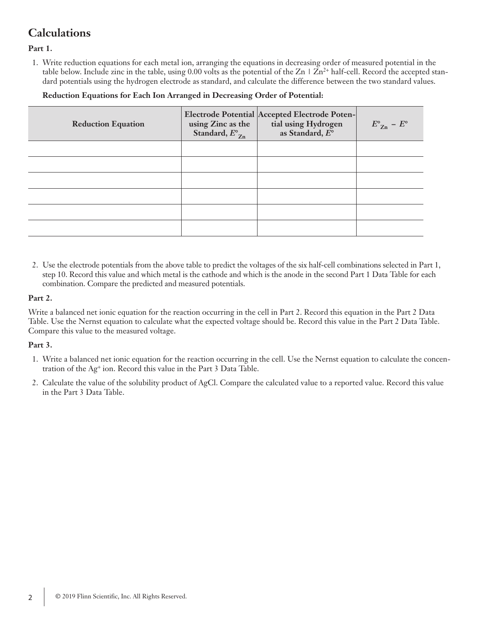# **Calculations**

**Part 1.**

1. Write reduction equations for each metal ion, arranging the equations in decreasing order of measured potential in the table below. Include zinc in the table, using 0.00 volts as the potential of the  $Zn \perp Zn^{2+}$  half-cell. Record the accepted standard potentials using the hydrogen electrode as standard, and calculate the difference between the two standard values.

 **Reduction Equations for Each Ion Arranged in Decreasing Order of Potential:**

| <b>Reduction Equation</b> | using Zinc as the<br>Standard, $E^{\circ}_{Zn}$ | <b>Electrode Potential Accepted Electrode Poten-</b><br>tial using Hydrogen<br>as Standard, $E^{\circ}$ | $E^{\circ}_{Z_{n}} - E^{\circ}$ |
|---------------------------|-------------------------------------------------|---------------------------------------------------------------------------------------------------------|---------------------------------|
|                           |                                                 |                                                                                                         |                                 |
|                           |                                                 |                                                                                                         |                                 |
|                           |                                                 |                                                                                                         |                                 |
|                           |                                                 |                                                                                                         |                                 |
|                           |                                                 |                                                                                                         |                                 |
|                           |                                                 |                                                                                                         |                                 |

2. Use the electrode potentials from the above table to predict the voltages of the six half-cell combinations selected in Part 1, step 10. Record this value and which metal is the cathode and which is the anode in the second Part 1 Data Table for each combination. Compare the predicted and measured potentials.

### **Part 2.**

Write a balanced net ionic equation for the reaction occurring in the cell in Part 2. Record this equation in the Part 2 Data Table. Use the Nernst equation to calculate what the expected voltage should be. Record this value in the Part 2 Data Table. Compare this value to the measured voltage.

### **Part 3.**

- 1. Write a balanced net ionic equation for the reaction occurring in the cell. Use the Nernst equation to calculate the concentration of the Ag<sup>+</sup> ion. Record this value in the Part 3 Data Table.
- 2. Calculate the value of the solubility product of AgCl. Compare the calculated value to a reported value. Record this value in the Part 3 Data Table.